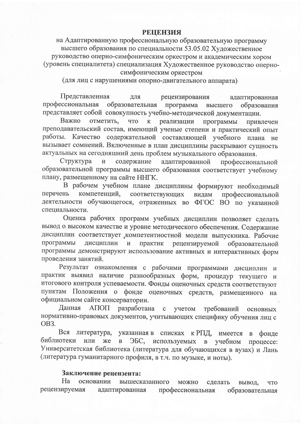## **РЕШЕНЗИЯ**

на Адаптированную профессиональную образовательную программу высшего образования по специальности 53.05.02 Художественное руководство оперно-симфоническим оркестром и академическим хором (уровень специалитета) специализация Художественное руководство оперносимфоническим оркестром

(для лиц с нарушениями опорно-двигательного аппарата)

Представленная ДЛЯ рецензирования адаптированная профессиональная образовательная программа образования высшего представляет собой совокупность учебно-методической документации.

Важно отметить, что  $\mathbf{K}$ реализации программы привлечен преподавательский состав, имеющий ученые степени и практический опыт работы. Качество содержательной составляющей учебного плана не вызывает сомнений. Включенные в план дисциплины раскрывают сущность актуальных на сегодняшний день проблем музыкального образования.

Структура содержание  $\mathbf H$ адаптированной профессиональной образовательной программы высшего образования соответствует учебному плану, размещенному на сайте ННГК.

В рабочем учебном плане дисциплины формируют необходимый перечень компетенций, соответствующих видам профессиональной деятельности обучающегося, отраженных во ФГОС ВО по указанной специальности.

Оценка рабочих программ учебных дисциплин позволяет сделать вывод о высоком качестве и уровне методического обеспечения. Содержание дисциплин соответствует компетентностной модели выпускника. Рабочие программы дисциплин и практик рецензируемой образовательной программы демонстрируют использование активных и интерактивных форм проведения занятий.

Результат ознакомления с рабочими программами дисциплин и практик выявил наличие разнообразных форм, процедур текущего и итогового контроля успеваемости. Фонды оценочных средств соответствуют пунктам Положения о фонде оценочных средств, размещенного на официальном сайте консерватории.

Данная АПОП разработана  $\mathbf{c}$ учетом требований основных нормативно-правовых документов, учитывающих специфику обучения лиц с OB<sub>3</sub>.

Вся указанная в списках к РПД, имеется литература,  $\mathbf{B}$ фонде библиотеки или же  $\overline{B}$ ЭБС, используемых в учебном процессе: Университетская библиотека (литература для обучающихся в вузах) и Лань (литература гуманитарного профиля, в т.ч. по музыке, и ноты).

## Заключение рецензента:

Ha основании вышесказанного можно сделать вывод, **ЧТО** рецензируемая адаптированная профессиональная образовательная